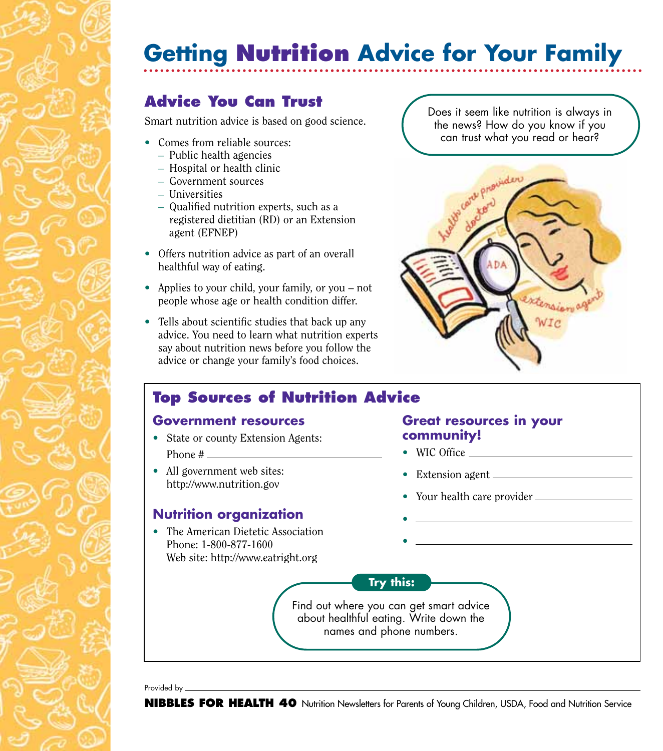# **Getting Nutrition Advice for Your Family**

## **Advice You Can Trust**

Smart nutrition advice is based on good science.

- Comes from reliable sources:
	- Public health agencies
	- Hospital or health clinic
	- Government sources
	- Universities
	- Qualified nutrition experts, such as a registered dietitian (RD) or an Extension agent (EFNEP)
- Offers nutrition advice as part of an overall healthful way of eating.
- Applies to your child, your family, or you not people whose age or health condition differ.
- Tells about scientific studies that back up any advice. You need to learn what nutrition experts say about nutrition news before you follow the advice or change your family's food choices.

Does it seem like nutrition is always in the news? How do you know if you can trust what you read or hear?



## **Top Sources of Nutrition Advice**

#### **Government resources**

- State or county Extension Agents: Phone #
- All government web sites: http://www.nutrition.gov

### **Nutrition organization**

• The American Dietetic Association Phone: 1-800-877-1600 Web site: http://www.eatright.org

#### **Great resources in your community!**

- WIC Office
- Extension agent
- Your health care provider
- •

•

**Try this:**

Find out where you can get smart advice about healthful eating. Write down the names and phone numbers.

Provided by \_\_

**NIBBLES FOR HEALTH 40** Nutrition Newsletters for Parents of Young Children, USDA, Food and Nutrition Service